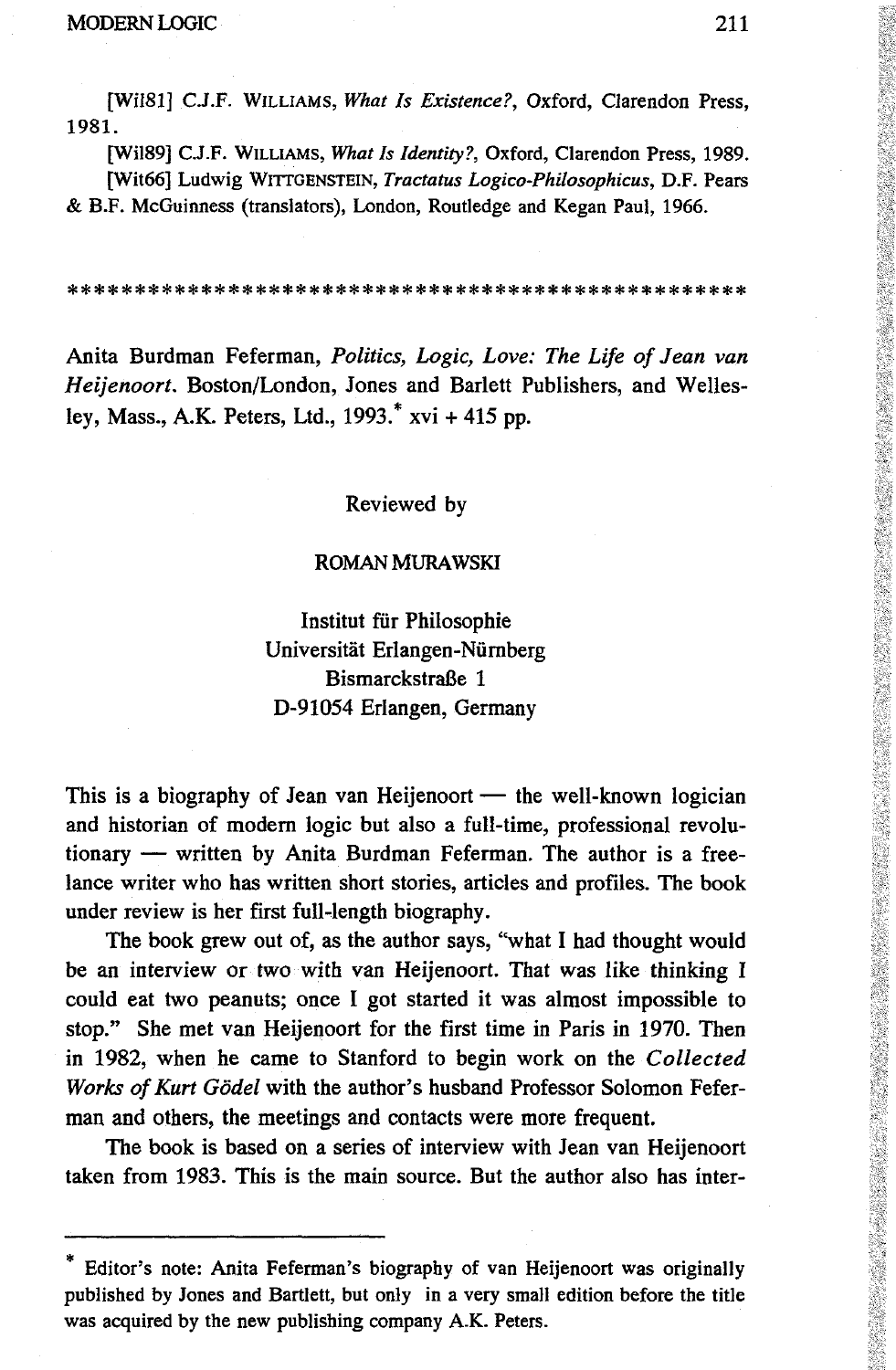[WÍ181] C.J.F. WILLIAMS, *What Is Existence?,* Oxford, Clarendon Press, 1981.

[WÍ189] C.J.F. WILLIAMS, *What Is Identity?,* Oxford, Clarendon Press, 1989. [Wit66] Ludwig WITTGENSTEIN, *Tractatus Logico-Philosophicus,* D.F. Pears & B.F. McGuinness (translators), London, Routledge and Kegan Paul, 1966.

**\*\*\*\*\*\*\*\*\*\*\*\*\*\*\*\*\*\*\*\*\*\*\*\*\*\*\*\*\*\*\*\*\*\*\*\*\*\*\*\*\*\*\*\*\*\*\*\*\*\* \***

Anita Burdman Feferman, *Politics, Logic, Love: The Life of Jean van Heijenoort.* Boston/London, Jones and Barlett Publishers, and Wellesley, Mass., A.K. Peters, Ltd., 1993.\* xvi + 415 pp.

## Reviewed by

## ROMAN MURAWSKI

Institut für Philosophie Universität Erlangen-Nürnberg Bismarckstraße 1 D-91054 Erlangen, Germany

This is a biography of Jean van Heijenoort — the well-known logician and historian of modern logic but also a full-time, professional revolutionary — written by Anita Burdman Feferman. The author is a freelance writer who has written short stories, articles and profiles. The book under review is her first full-length biography.

The book grew out of, as the author says, "what I had thought would be an interview or two with van Heijenoort. That was like thinking I could eat two peanuts; once I got started it was almost impossible to stop." She met van Heijenoort for the first time in Paris in 1970. Then in 1982, when he came to Stanford to begin work on the *Collected Works of Kurt Godei* with the author's husband Professor Solomon Feferman and others, the meetings and contacts were more frequent.

The book is based on a series of interview with Jean van Heijenoort taken from 1983. This is the main source. But the author also has interEditor's note: Anita Feferman's biography of van Heijenoort was originally published by Jones and Bartlett, but only in a very small edition before the title was acquired by the new publishing company A.K. Peters.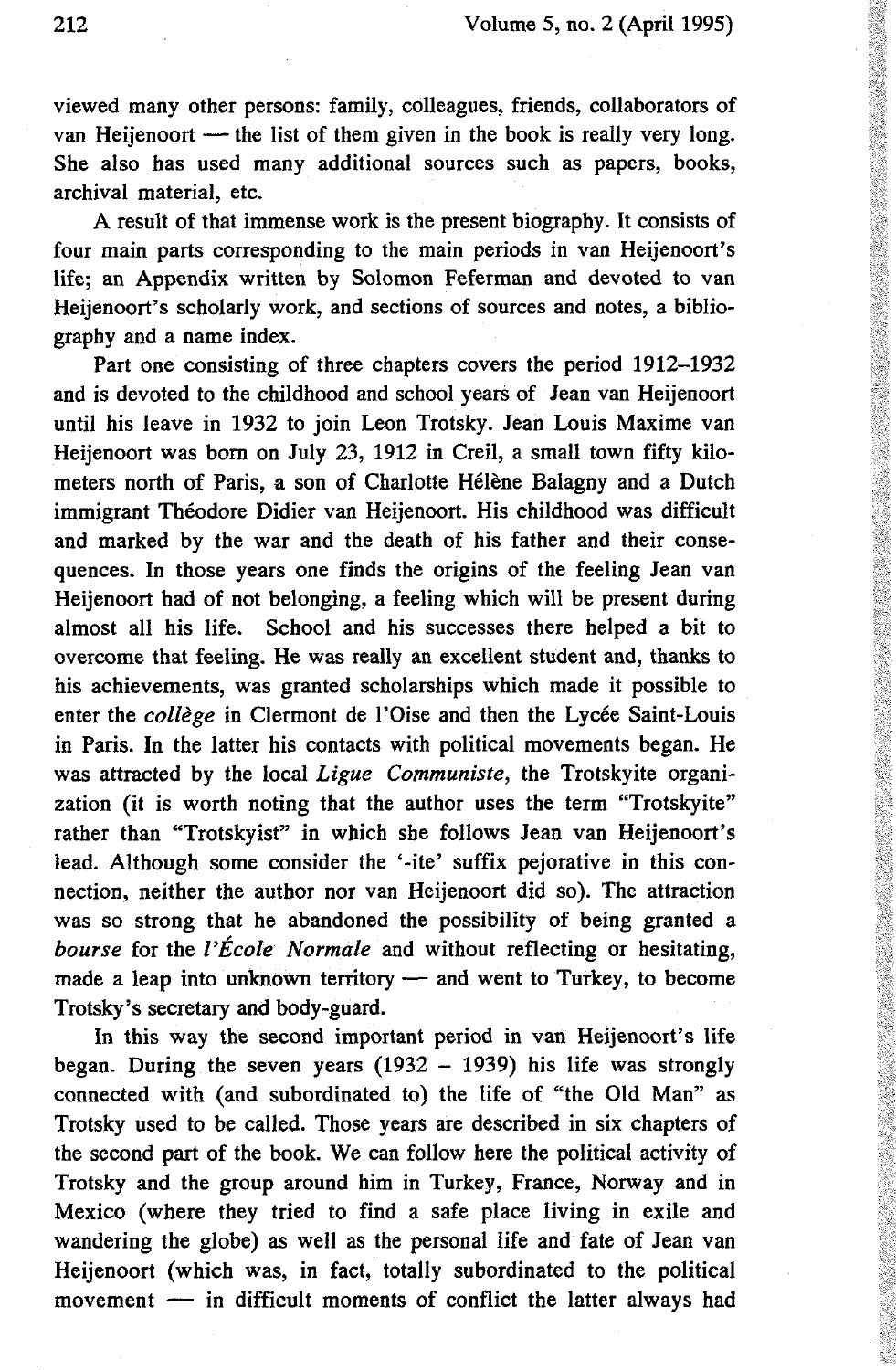viewed many other persons: family, colleagues, friends, collaborators of van Heijenoort — the list of them given in the book is really very long. She also has used many additional sources such as papers, books, archival material, etc.

A result of that immense work is the present biography. It consists of four main parts corresponding to the main periods in van Heijenoort's life; an Appendix written by Solomon Feferman and devoted to van Heijenoort's scholarly work, and sections of sources and notes, a bibliography and a name index.

Part one consisting of three chapters covers the period 1912-1932 and is devoted to the childhood and school years of Jean van Heijenoort until his leave in 1932 to join Leon Trotsky. Jean Louis Maxime van Heijenoort was born on July 23, 1912 in Creil, a small town fifty kilometers north of Paris, a son of Charlotte Hélène Balagny and a Dutch immigrant Théodore Didier van Heijenoort. His childhood was difficult and marked by the war and the death of his father and their consequences. In those years one finds the origins of the feeling Jean van Heijenoort had of not belonging, a feeling which will be present during almost all his life. School and his successes there helped a bit to overcome that feeling. He was really an excellent student and, thanks to his achievements, was granted scholarships which made it possible to enter the *collège* in Clermont de l'Oise and then the Lycée Saint-Louis in Paris. In the latter his contacts with political movements began. He was attracted by the local *Ligue Communiste,* the Trotskyite organization (it is worth noting that the author uses the term "Trotskyite" rather than "Trotskyist" in which she follows Jean van Heijenoort's lead. Although some consider the '-ite' suffix pejorative in this connection, neither the author nor van Heijenoort did so). The attraction was so strong that he abandoned the possibility of being granted a *bourse* for the *l'École Normale* and without reflecting or hesitating, made a leap into unknown territory — and went to Turkey, to become Trotsky's secretary and body-guard.

In this way the second important period in van Heijenoort's life began. During the seven years  $(1932 - 1939)$  his life was strongly connected with (and subordinated to) the life of "the Old Man" as Trotsky used to be called. Those years are described in six chapters of the second part of the book. We can follow here the political activity of Trotsky and the group around him in Turkey, France, Norway and in Mexico (where they tried to find a safe place living in exile and wandering the globe) as well as the personal life and fate of Jean van Heijenoort (which was, in fact, totally subordinated to the political movement — in difficult moments of conflict the latter always had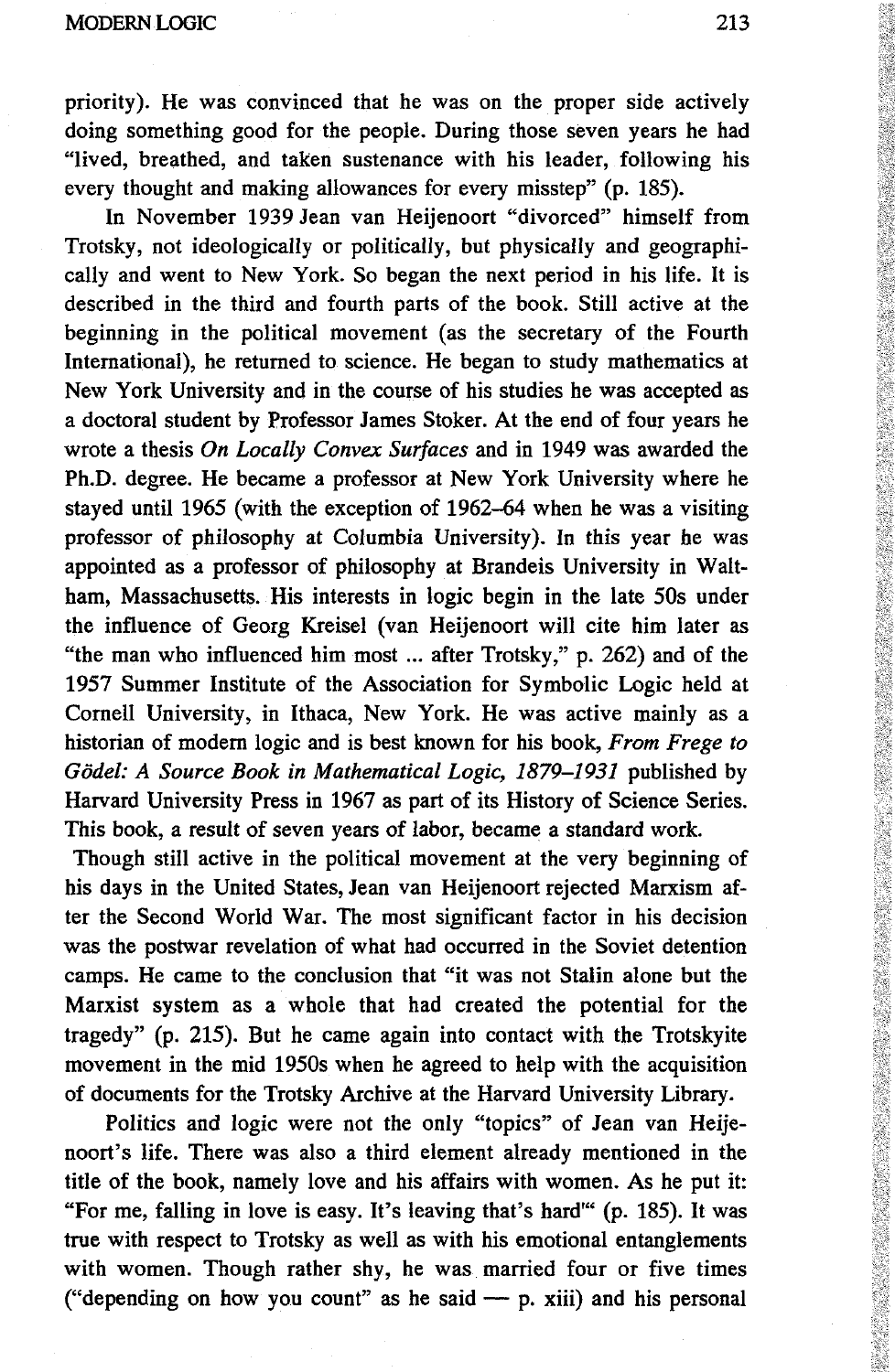## MODERN LOGIC 213

priority). He was convinced that he was on the proper side actively doing something good for the people. During those seven years he had "lived, breathed, and taken sustenance with his leader, following his every thought and making allowances for every misstep" (p. 185).

In November 1939 Jean van Heijenoort "divorced" himself from Trotsky, not ideologically or politically, but physically and geographically and went to New York. So began the next period in his life. It is described in the third and fourth parts of the book. Still active at the beginning in the political movement (as the secretary of the Fourth International), he returned to science. He began to study mathematics at New York University and in the course of his studies he was accepted as a doctoral student by Professor James Stoker. At the end of four years he wrote a thesis *On Locally Convex Surfaces* and in 1949 was awarded the Ph.D. degree. He became a professor at New York University where he stayed until 1965 (with the exception of 1962-64 when he was a visiting professor of philosophy at Columbia University). In this year he was appointed as a professor of philosophy at Brandeis University in Waltham, Massachusetts. His interests in logic begin in the late 50s under the influence of Georg Kreisel (van Heijenoort will cite him later as "the man who influenced him most ... after Trotsky," p. 262) and of the 1957 Summer Institute of the Association for Symbolic Logic held at Cornell University, in Ithaca, New York. He was active mainly as a historian of modern logic and is best known for his book, *From Frege to Godei: A Source Book in Mathematical Logic, 1879-1931* published by Harvard University Press in 1967 as part of its History of Science Series. This book, a result of seven years of labor, became a standard work.

Though still active in the political movement at the very beginning of his days in the United States, Jean van Heijenoort rejected Marxism after the Second World War. The most significant factor in his decision was the postwar revelation of what had occurred in the Soviet detention camps. He came to the conclusion that "it was not Stalin alone but the Marxist system as a whole that had created the potential for the tragedy" (p. 215). But he came again into contact with the Trotskyite movement in the mid 1950s when he agreed to help with the acquisition of documents for the Trotsky Archive at the Harvard University Library.

Politics and logic were not the only "topics" of Jean van Heijenoort's life. There was also a third element already mentioned in the title of the book, namely love and his affairs with women. As he put it: "For me, falling in love is easy. It's leaving that's hard"' (p. 185). It was true with respect to Trotsky as well as with his emotional entanglements with women. Though rather shy, he was married four or five times ("depending on how you count" as he said  $-$  p. xiii) and his personal